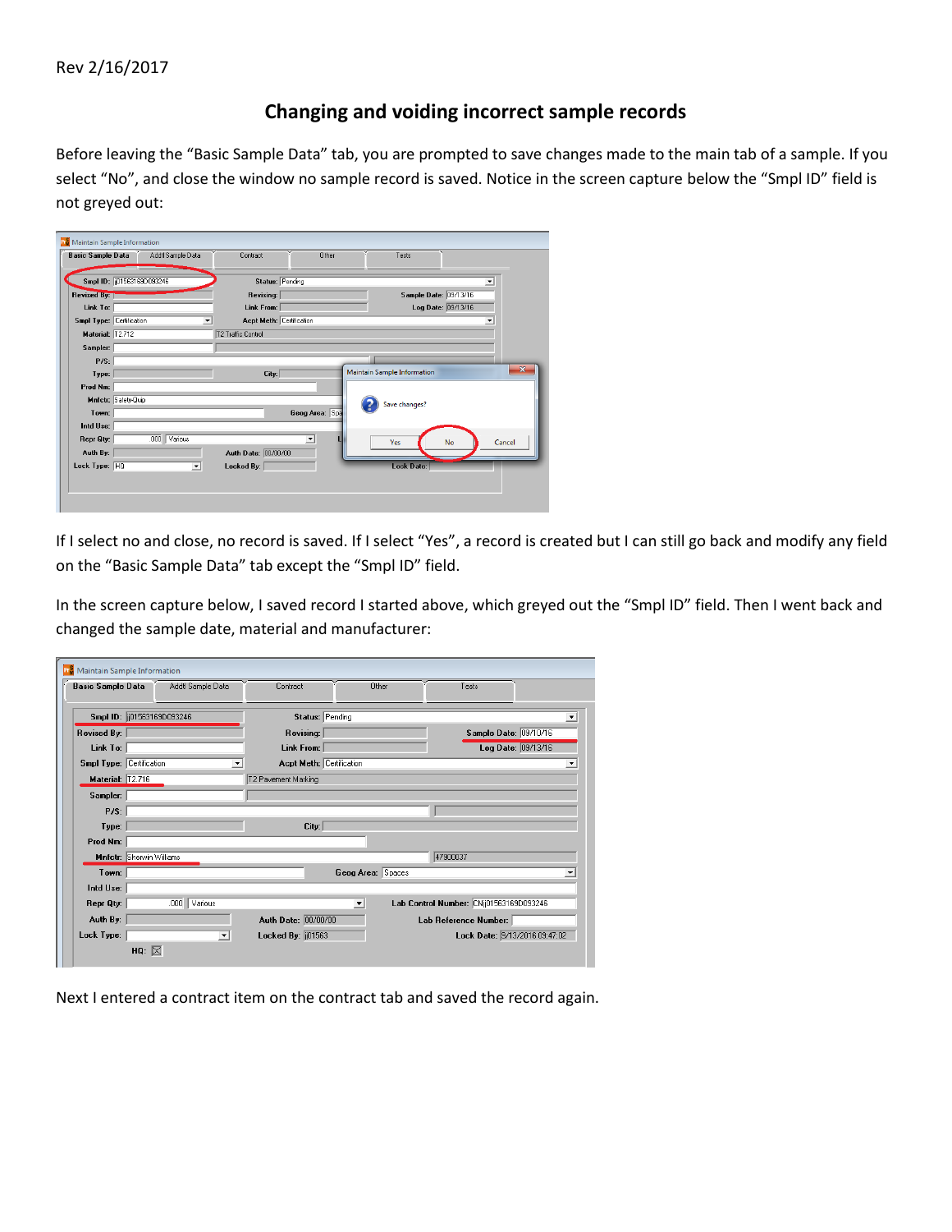## **Changing and voiding incorrect sample records**

Before leaving the "Basic Sample Data" tab, you are prompted to save changes made to the main tab of a sample. If you select "No", and close the window no sample record is saved. Notice in the screen capture below the "Smpl ID" field is not greyed out:

| <b>Basic Sample Data</b> | Addtl Sample Data    | Contract                        | Other                | Tests                              |                      |              |
|--------------------------|----------------------|---------------------------------|----------------------|------------------------------------|----------------------|--------------|
| Smpl ID: 01563169D093246 |                      | Status: Pending                 |                      |                                    | ▼                    |              |
| Revised By:              |                      | <b>Revising:</b>                |                      | Sample Date: 09/13/16              |                      |              |
| Link To:                 |                      | <b>Link From:</b>               |                      |                                    | Log Date: 09/13/16   |              |
| Smpl Type: Certification |                      | <b>Acpt Meth: Certification</b> |                      |                                    | $\blacktriangledown$ |              |
| Material: T2.712         |                      | T2 Traffic Control              |                      |                                    |                      |              |
| Sampler:                 |                      |                                 |                      |                                    |                      |              |
| P/S:                     |                      |                                 |                      |                                    |                      |              |
| Type:                    |                      | City:                           |                      | <b>Maintain Sample Information</b> |                      | $\mathbf{x}$ |
| Prod Nm:                 |                      |                                 |                      |                                    |                      |              |
| Mnfetr: Safety-Quip      |                      |                                 |                      | Save changes?                      |                      |              |
| Town:                    |                      |                                 | Geog Area: Spa       |                                    |                      |              |
| Intd Use:                |                      |                                 |                      |                                    |                      |              |
| Repr Qty:                | .000 Various         |                                 | $\blacktriangledown$ | Yes                                | No                   | Cancel       |
| Auth By:                 |                      | Auth Date: 00/00/00             |                      |                                    |                      |              |
| Lock Type: HQ            | $\blacktriangledown$ | Locked By:                      |                      | <b>Lock Date:</b>                  |                      |              |

If I select no and close, no record is saved. If I select "Yes", a record is created but I can still go back and modify any field on the "Basic Sample Data" tab except the "Smpl ID" field.

In the screen capture below, I saved record I started above, which greyed out the "Smpl ID" field. Then I went back and changed the sample date, material and manufacturer:

| <b>Basic Sample Data</b>        |              | Addtl Sample Data | Contract            |                          | Other             |                                         | Tests                         |                    |  |
|---------------------------------|--------------|-------------------|---------------------|--------------------------|-------------------|-----------------------------------------|-------------------------------|--------------------|--|
| Smpl ID: 01563169D093246        |              |                   |                     | Status: Pending          |                   |                                         |                               |                    |  |
| <b>Revised By:</b>              |              |                   | Revising:           |                          |                   |                                         | Sample Date: 09/10/16         |                    |  |
| Link To:                        |              |                   | Link From:          |                          |                   |                                         |                               | Log Date: 09/13/16 |  |
| <b>Smpl Type: Certification</b> |              |                   |                     | Acpt Meth: Certification |                   |                                         |                               |                    |  |
| Material: 72.716                |              |                   | T2 Pavement Marking |                          |                   |                                         |                               |                    |  |
| Sampler:                        |              |                   |                     |                          |                   |                                         |                               |                    |  |
| P/S:                            |              |                   |                     |                          |                   |                                         |                               |                    |  |
| Type:                           |              |                   |                     | City:                    |                   |                                         |                               |                    |  |
| Prod Nm:                        |              |                   |                     |                          |                   |                                         |                               |                    |  |
| Mnfetr: Sherwin Williams        |              |                   |                     |                          |                   | 47900037                                |                               |                    |  |
| Town:                           |              |                   |                     |                          | Geog Area: Spaces |                                         |                               |                    |  |
| Intd Use:                       |              |                   |                     |                          |                   |                                         |                               |                    |  |
| Repr Qty:                       | .000 Various |                   |                     | $\blacktriangledown$     |                   | Lab Control Number: CNij01563169D093246 |                               |                    |  |
| Auth By:                        |              |                   | Auth Date: 00/00/00 |                          |                   | Lab Reference Number:                   |                               |                    |  |
| Lock Type:                      |              | 회                 | Locked By: [01563]  |                          |                   |                                         | Lock Date: 9/13/2016 09:47:02 |                    |  |

Next I entered a contract item on the contract tab and saved the record again.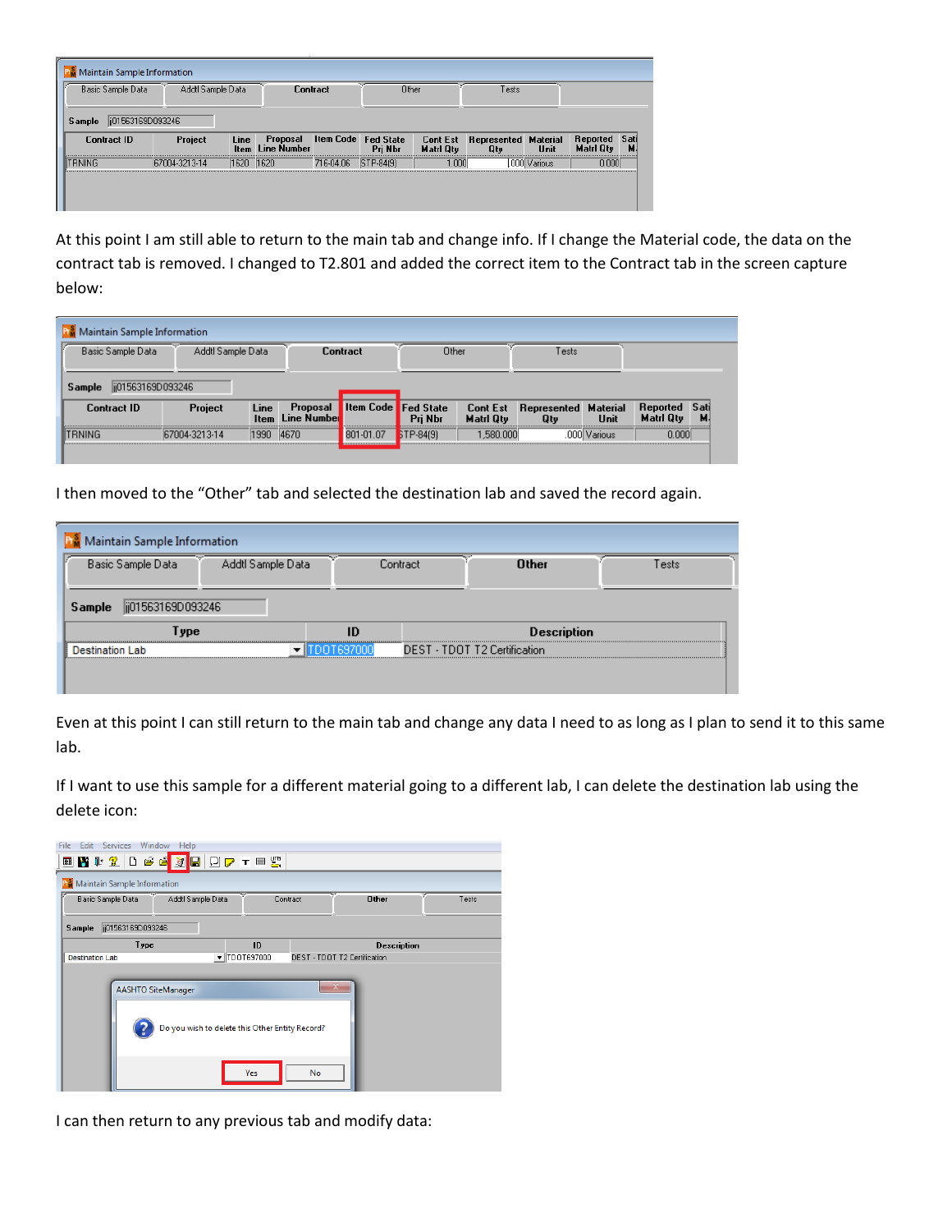| Basic Sample Data           | Addtl Sample Data |           | Contract                     |           | Other                          |           | Tests                                              |              |                            |    |
|-----------------------------|-------------------|-----------|------------------------------|-----------|--------------------------------|-----------|----------------------------------------------------|--------------|----------------------------|----|
| ii01563169D093246<br>Sample |                   |           |                              |           |                                |           |                                                    |              |                            |    |
| <b>Contract ID</b>          | Project           | Line      | Proposal<br>Item Line Number |           | Item Code Fed State<br>Pri Nbr | Matri Otv | <b>Cont Est</b> Represented Material<br><b>Otv</b> | Unit         | Reported Sati<br>Matri Qty | м. |
| <b>TRNING</b>               | 67004-3213-14     | 1620 1620 |                              | 716-04.06 | STP-84(9)                      | 1.000     |                                                    | 1000 Various | 0.000                      |    |

At this point I am still able to return to the main tab and change info. If I change the Material code, the data on the contract tab is removed. I changed to T2.801 and added the correct item to the Contract tab in the screen capture below:

| Maintain Sample Information |                   |             |                                |                     |         |           |                                      |      |                       |        |
|-----------------------------|-------------------|-------------|--------------------------------|---------------------|---------|-----------|--------------------------------------|------|-----------------------|--------|
| Basic Sample Data           | Addtl Sample Data |             |                                | Contract            | Other   |           | Tests                                |      |                       |        |
| Sample                      | ii01563169D093246 |             |                                |                     |         |           |                                      |      |                       |        |
| <b>Contract ID</b>          | Project           | <b>Line</b> | Proposal<br><b>Line Number</b> | Item Code Fed State |         |           | <b>Cont Est</b> Represented Material |      | Reported<br>Matri Otv | - Sati |
|                             |                   | <b>Item</b> |                                |                     | Pri Nbr | Matri Qtv | <b>Q</b> tv                          | Unit |                       | м      |

I then moved to the "Other" tab and selected the destination lab and saved the record again.

| Maintain Sample Information |                   |          |                                     |         |  |  |  |  |  |
|-----------------------------|-------------------|----------|-------------------------------------|---------|--|--|--|--|--|
| Basic Sample Data           | Addtl Sample Data | Contract | <b>Other</b>                        | l ests. |  |  |  |  |  |
|                             |                   |          |                                     |         |  |  |  |  |  |
| ii01563169D093246<br>Sample |                   |          |                                     |         |  |  |  |  |  |
| Type                        |                   | ID       | <b>Description</b>                  |         |  |  |  |  |  |
| ation Lab                   |                   |          | <b>DEST - TDOT T2 Certification</b> |         |  |  |  |  |  |
|                             |                   |          |                                     |         |  |  |  |  |  |
|                             |                   |          |                                     |         |  |  |  |  |  |

Even at this point I can still return to the main tab and change any data I need to as long as I plan to send it to this same lab.

If I want to use this sample for a different material going to a different lab, I can delete the destination lab using the delete icon:



I can then return to any previous tab and modify data: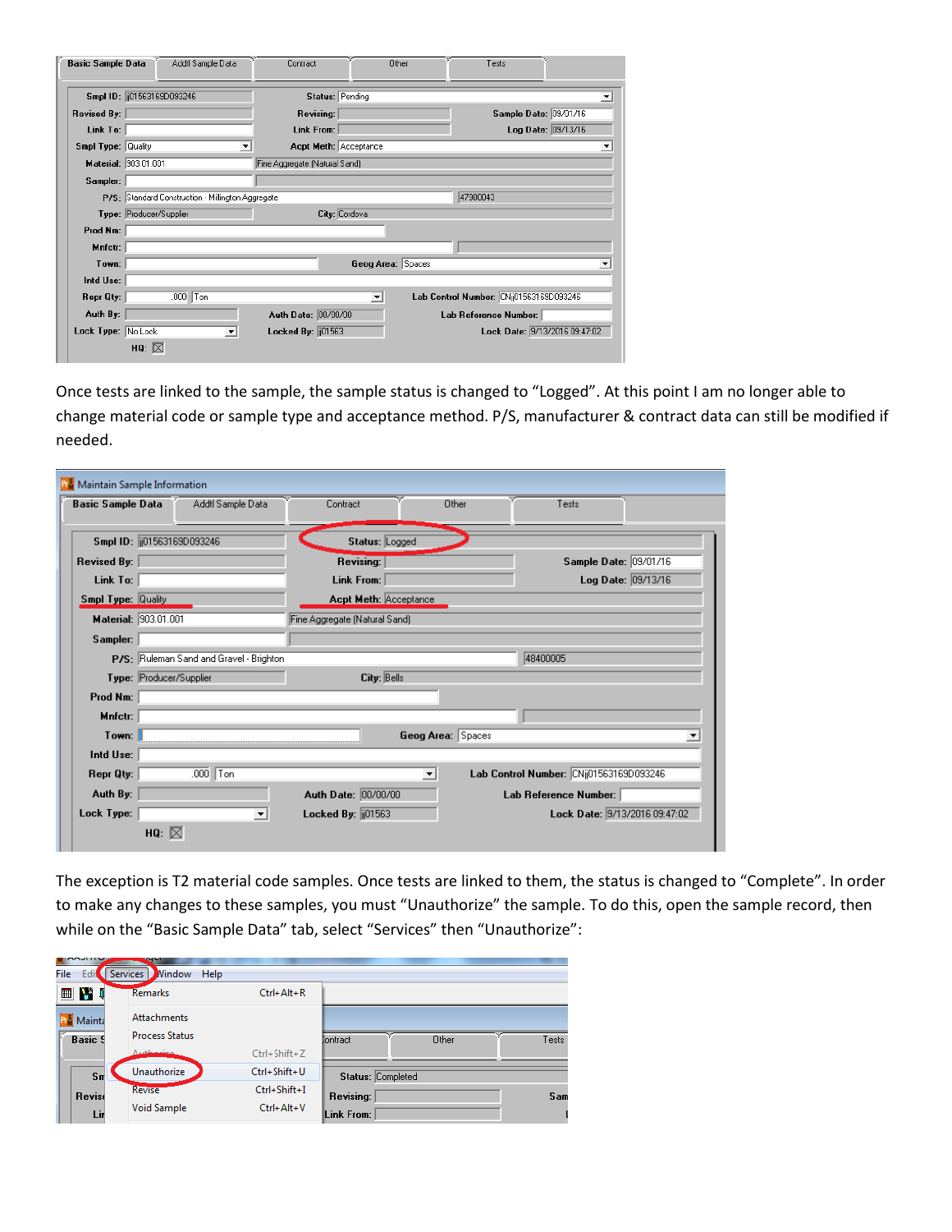| <b>Basic Sample Data</b>  | Addtl Sample Data                                 | Contract                       | Other                    | Tests                                   |                          |
|---------------------------|---------------------------------------------------|--------------------------------|--------------------------|-----------------------------------------|--------------------------|
|                           | Smpl ID: ((01563169D093246)                       | Status: Pending                |                          |                                         | $\overline{\phantom{a}}$ |
| <b>Revised By:</b>        |                                                   | Revising:                      |                          | Sample Date: 09/01/16                   |                          |
| Link To:                  |                                                   | Link From:                     |                          |                                         | Log Date: 09/13/16       |
| <b>Smpl Type: Quality</b> |                                                   | <b>Acpt Meth: Acceptance</b>   |                          |                                         | $\blacktriangledown$     |
|                           | Material: 903.01.001                              | Fine Aggregate (Natural Sand)  |                          |                                         |                          |
| Sampler:                  |                                                   |                                |                          |                                         |                          |
|                           | P/S: Standard Construction - Millington Aggregate |                                |                          | 47900043                                |                          |
|                           | Type: Producer/Supplier                           |                                | City: Cordova            |                                         |                          |
| Prod Nm:                  |                                                   |                                |                          |                                         |                          |
| Mnfctr:                   |                                                   |                                |                          |                                         |                          |
| Town:                     |                                                   |                                | Geog Area: Spaces        |                                         |                          |
| Intd Use:                 |                                                   |                                |                          |                                         |                          |
| Repr Qty:                 | .000 Ton                                          |                                | $\overline{\phantom{a}}$ | Lab Control Number: CNij01563169D093246 |                          |
| Auth By:                  |                                                   | Auth Date: 00/00/00            |                          | Lab Reference Number:                   |                          |
| Lock Type: No Lock        | $\blacktriangledown$                              | Locked By: $\overline{101563}$ |                          | Lock Date: 9/13/2016 09:47:02           |                          |
|                           | HQ: $\boxtimes$                                   |                                |                          |                                         |                          |

Once tests are linked to the sample, the sample status is changed to "Logged". At this point I am no longer able to change material code or sample type and acceptance method. P/S, manufacturer & contract data can still be modified if needed.

| <b>Basic Sample Data</b>  | Addtl Sample Data                       | Contract                      | Other             | Tests                                   |  |
|---------------------------|-----------------------------------------|-------------------------------|-------------------|-----------------------------------------|--|
|                           | Smpl ID: ((01563169D093246)             | Status: Logged                |                   |                                         |  |
| <b>Revised By:</b>        |                                         | Revising:                     |                   | Sample Date: 09/01/16                   |  |
| Link To:                  |                                         | Link From:                    |                   | Log Date: 09/13/16                      |  |
| <b>Smpl Type: Quality</b> |                                         | <b>Acpt Meth: Acceptance</b>  |                   |                                         |  |
| Material: 903.01.001      |                                         | Fine Aggregate (Natural Sand) |                   |                                         |  |
| Sampler:                  |                                         |                               |                   |                                         |  |
|                           | P/S: Ruleman Sand and Gravel - Brighton |                               |                   | 48400005                                |  |
|                           | Type: Producer/Supplier                 | City: Bells                   |                   |                                         |  |
| Prod Nm:                  |                                         |                               |                   |                                         |  |
| Mnfctr:                   |                                         |                               |                   |                                         |  |
| Town:                     |                                         |                               | Geog Area: Spaces |                                         |  |
| Intd Use:                 |                                         |                               |                   |                                         |  |
| Repr Qty:                 | $.000$ Ton                              |                               | ▾╎                | Lab Control Number: CNij01563169D093246 |  |
| Auth By:                  |                                         | Auth Date: 00/00/00           |                   | Lab Reference Number:                   |  |
| Lock Type:                | $\blacktriangledown$                    | Locked By: [101563]           |                   | Lock Date: 9/13/2016 09:47:02           |  |

The exception is T2 material code samples. Once tests are linked to them, the status is changed to "Complete". In order to make any changes to these samples, you must "Unauthorize" the sample. To do this, open the sample record, then while on the "Basic Sample Data" tab, select "Services" then "Unauthorize":

|                       | سيبت                                                  |                  |                   |       |       |
|-----------------------|-------------------------------------------------------|------------------|-------------------|-------|-------|
| Edi<br>File           | Services <sup>1</sup><br><b>Window</b><br><b>Help</b> |                  |                   |       |       |
| P I<br>$\blacksquare$ | <b>Remarks</b>                                        | $Ctrl + Alt + R$ |                   |       |       |
| Mainta                | <b>Attachments</b>                                    |                  |                   |       |       |
| <b>Basic 9</b>        | <b>Process Status</b>                                 |                  | Iontract          | Other | Tests |
|                       | Antibonian                                            | Ctrl+Shift+Z     |                   |       |       |
| S <sub>II</sub>       | Unauthorize                                           | Ctrl+Shift+U     | Status: Completed |       |       |
| Revise                | <b>Revise</b>                                         | Ctrl+Shift+I     | Revising:         |       | Sam   |
| Lir                   | <b>Void Sample</b>                                    | Ctrl+Alt+V       | Link From:        |       |       |